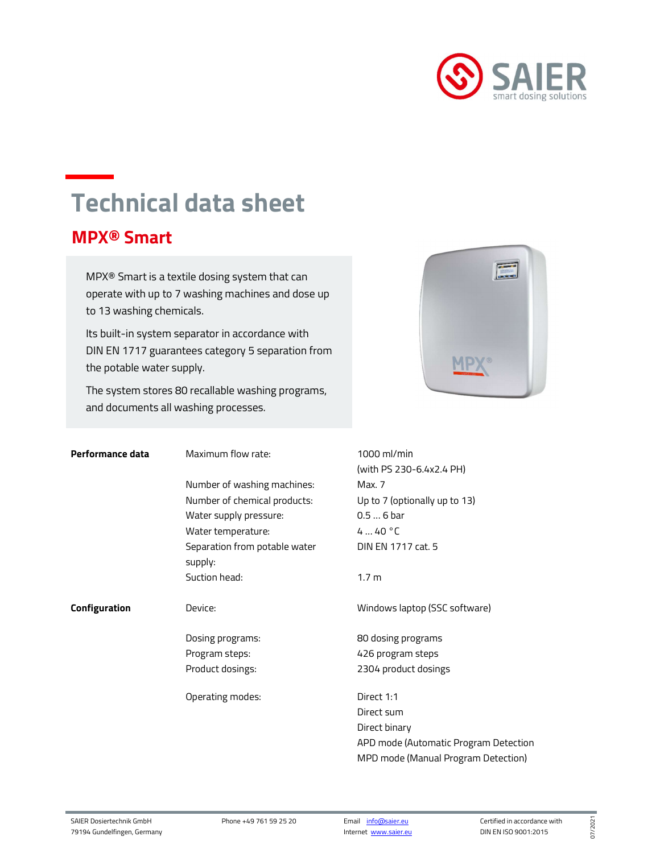

## Technical data sheet

## MPX® Smart

xxxxxxxxxxxxxxxxxxxxxxx

MPX® Smart is a textile dosing system that can operate with up to 7 washing machines and dose up to 13 washing chemicals.

Its built-in system separator in accordance with DIN EN 1717 guarantees category 5 separation from the potable water supply.

The system stores 80 recallable washing programs, and documents all washing processes.



| Performance data | Maximum flow rate:            | 1000 ml/min                           |
|------------------|-------------------------------|---------------------------------------|
|                  |                               | (with PS 230-6.4x2.4 PH)              |
|                  | Number of washing machines:   | Max. 7                                |
|                  | Number of chemical products:  | Up to 7 (optionally up to 13)         |
|                  | Water supply pressure:        | $0.56$ bar                            |
|                  | Water temperature:            | 440 °C                                |
|                  | Separation from potable water | DIN EN 1717 cat. 5                    |
|                  | supply:                       |                                       |
|                  | Suction head:                 | 1.7 <sub>m</sub>                      |
|                  |                               |                                       |
| Configuration    | Device:                       | Windows laptop (SSC software)         |
|                  |                               |                                       |
|                  | Dosing programs:              | 80 dosing programs                    |
|                  | Program steps:                | 426 program steps                     |
|                  | Product dosings:              | 2304 product dosings                  |
|                  |                               |                                       |
|                  | Operating modes:              | Direct 1:1                            |
|                  |                               | Direct sum                            |
|                  |                               | Direct binary                         |
|                  |                               | APD mode (Automatic Program Detection |
|                  |                               | MPD mode (Manual Program Detection)   |

Internet www.saier.eu

07/2021